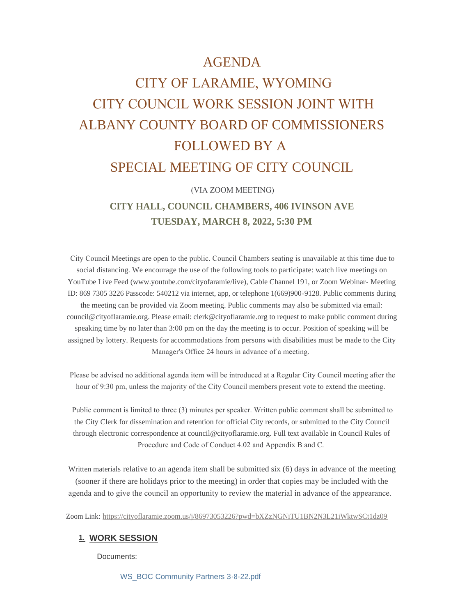# AGENDA

# CITY OF LARAMIE, WYOMING CITY COUNCIL WORK SESSION JOINT WITH ALBANY COUNTY BOARD OF COMMISSIONERS FOLLOWED BY A SPECIAL MEETING OF CITY COUNCIL

## (VIA ZOOM MEETING)

# **CITY HALL, COUNCIL CHAMBERS, 406 IVINSON AVE TUESDAY, MARCH 8, 2022, 5:30 PM**

 City Council Meetings are open to the public. Council Chambers seating is unavailable at this time due to social distancing. We encourage the use of the following tools to participate: watch live meetings on YouTube Live Feed (www.youtube.com/cityofaramie/live), Cable Channel 191, or Zoom Webinar- Meeting ID: 869 7305 3226 Passcode: 540212 via internet, app, or telephone 1(669)900-9128. Public comments during the meeting can be provided via Zoom meeting. Public comments may also be submitted via email: council@cityoflaramie.org. Please email: clerk@cityoflaramie.org to request to make public comment during speaking time by no later than 3:00 pm on the day the meeting is to occur. Position of speaking will be assigned by lottery. Requests for accommodations from persons with disabilities must be made to the City Manager's Office 24 hours in advance of a meeting.

 Please be advised no additional agenda item will be introduced at a Regular City Council meeting after the hour of 9:30 pm, unless the majority of the City Council members present vote to extend the meeting.

 Public comment is limited to three (3) minutes per speaker. Written public comment shall be submitted to the City Clerk for dissemination and retention for official City records, or submitted to the City Council through electronic correspondence at council@cityoflaramie.org. Full text available in Council Rules of Procedure and Code of Conduct 4.02 and Appendix B and C.

Written materials relative to an agenda item shall be submitted six (6) days in advance of the meeting (sooner if there are holidays prior to the meeting) in order that copies may be included with the agenda and to give the council an opportunity to review the material in advance of the appearance.

Zoom Link: <https://cityoflaramie.zoom.us/j/86973053226?pwd=bXZzNGNiTU1BN2N3L21iWktwSCt1dz09>

#### **WORK SESSION 1.**

Documents:

[WS\\_BOC Community Partners 3-8-22.pdf](https://cityoflaramie.org/AgendaCenter/ViewFile/Item/11955?fileID=16198)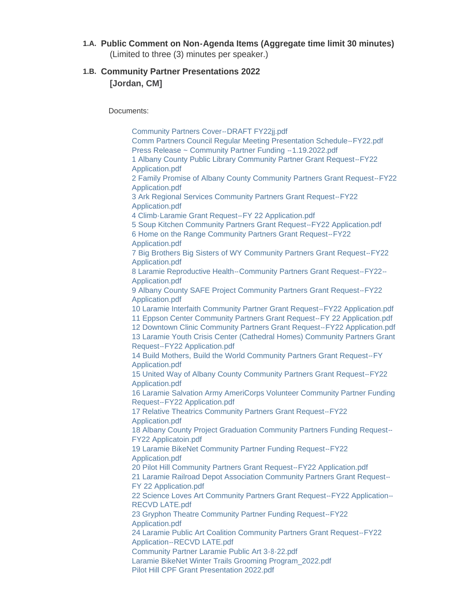**Public Comment on Non-Agenda Items (Aggregate time limit 30 minutes) 1.A.** (Limited to three (3) minutes per speaker.)

# **Community Partner Presentations 2022 1.B. [Jordan, CM]**

Documents:

[Community Partners Cover--DRAFT FY22jj.pdf](https://cityoflaramie.org/AgendaCenter/ViewFile/Item/11961?fileID=16271) [Comm Partners Council Regular Meeting Presentation Schedule--FY22.pdf](https://cityoflaramie.org/AgendaCenter/ViewFile/Item/11961?fileID=16272) [Press Release ~ Community Partner Funding --1.19.2022.pdf](https://cityoflaramie.org/AgendaCenter/ViewFile/Item/11961?fileID=16273) [1 Albany County Public Library Community Partner Grant Request--FY22](https://cityoflaramie.org/AgendaCenter/ViewFile/Item/11961?fileID=16246)  Application.pdf [2 Family Promise of Albany County Community Partners Grant Request--FY22](https://cityoflaramie.org/AgendaCenter/ViewFile/Item/11961?fileID=16247)  Application.pdf [3 Ark Regional Services Community Partners Grant Request--FY22](https://cityoflaramie.org/AgendaCenter/ViewFile/Item/11961?fileID=16248)  Application.pdf [4 Climb-Laramie Grant Request--FY 22 Application.pdf](https://cityoflaramie.org/AgendaCenter/ViewFile/Item/11961?fileID=16249) [5 Soup Kitchen Community Partners Grant Request--FY22 Application.pdf](https://cityoflaramie.org/AgendaCenter/ViewFile/Item/11961?fileID=16250) [6 Home on the Range Community Partners Grant Request--FY22](https://cityoflaramie.org/AgendaCenter/ViewFile/Item/11961?fileID=16251)  Application.pdf [7 Big Brothers Big Sisters of WY Community Partners Grant Request--FY22](https://cityoflaramie.org/AgendaCenter/ViewFile/Item/11961?fileID=16252)  Application.pdf [8 Laramie Reproductive Health--Community Partners Grant Request--FY22--](https://cityoflaramie.org/AgendaCenter/ViewFile/Item/11961?fileID=16253) Application.pdf [9 Albany County SAFE Project Community Partners Grant Request--FY22](https://cityoflaramie.org/AgendaCenter/ViewFile/Item/11961?fileID=16254)  Application.pdf [10 Laramie Interfaith Community Partner Grant Request--FY22 Application.pdf](https://cityoflaramie.org/AgendaCenter/ViewFile/Item/11961?fileID=16255) [11 Eppson Center Community Partners Grant Request--FY 22 Application.pdf](https://cityoflaramie.org/AgendaCenter/ViewFile/Item/11961?fileID=16256) [12 Downtown Clinic Community Partners Grant Request--FY22 Application.pdf](https://cityoflaramie.org/AgendaCenter/ViewFile/Item/11961?fileID=16257) [13 Laramie Youth Crisis Center \(Cathedral Homes\) Community Partners Grant](https://cityoflaramie.org/AgendaCenter/ViewFile/Item/11961?fileID=16258)  Request--FY22 Application.pdf [14 Build Mothers, Build the World Community Partners Grant Request--FY](https://cityoflaramie.org/AgendaCenter/ViewFile/Item/11961?fileID=16259)  Application.pdf [15 United Way of Albany County Community Partners Grant Request--FY22](https://cityoflaramie.org/AgendaCenter/ViewFile/Item/11961?fileID=16260)  Application.pdf [16 Laramie Salvation Army AmeriCorps Volunteer Community Partner Funding](https://cityoflaramie.org/AgendaCenter/ViewFile/Item/11961?fileID=16261)  Request--FY22 Application.pdf [17 Relative Theatrics Community Partners Grant Request--FY22](https://cityoflaramie.org/AgendaCenter/ViewFile/Item/11961?fileID=16278)  Application.pdf [18 Albany County Project Graduation Community Partners Funding Request--](https://cityoflaramie.org/AgendaCenter/ViewFile/Item/11961?fileID=16279) FY22 Applicatoin.pdf [19 Laramie BikeNet Community Partner Funding Request--FY22](https://cityoflaramie.org/AgendaCenter/ViewFile/Item/11961?fileID=16274)  Application.pdf [20 Pilot Hill Community Partners Grant Request--FY22 Application.pdf](https://cityoflaramie.org/AgendaCenter/ViewFile/Item/11961?fileID=16275) [21 Laramie Railroad Depot Association Community Partners Grant Request--](https://cityoflaramie.org/AgendaCenter/ViewFile/Item/11961?fileID=16276) FY 22 Application.pdf [22 Science Loves Art Community Partners Grant Request--FY22 Application--](https://cityoflaramie.org/AgendaCenter/ViewFile/Item/11961?fileID=16277) RECVD LATE.pdf [23 Gryphon Theatre Community Partner Funding Request--FY22](https://cityoflaramie.org/AgendaCenter/ViewFile/Item/11961?fileID=16245)  Application.pdf [24 Laramie Public Art Coalition Community Partners Grant Request--FY22](https://cityoflaramie.org/AgendaCenter/ViewFile/Item/11961?fileID=16265)  Application--RECVD LATE.pdf [Community Partner Laramie Public Art 3-8-22.pdf](https://cityoflaramie.org/AgendaCenter/ViewFile/Item/11961?fileID=16354) [Laramie BikeNet Winter Trails Grooming Program\\_2022.pdf](https://cityoflaramie.org/AgendaCenter/ViewFile/Item/11961?fileID=16355) [Pilot Hill CPF Grant Presentation 2022.pdf](https://cityoflaramie.org/AgendaCenter/ViewFile/Item/11961?fileID=16356)